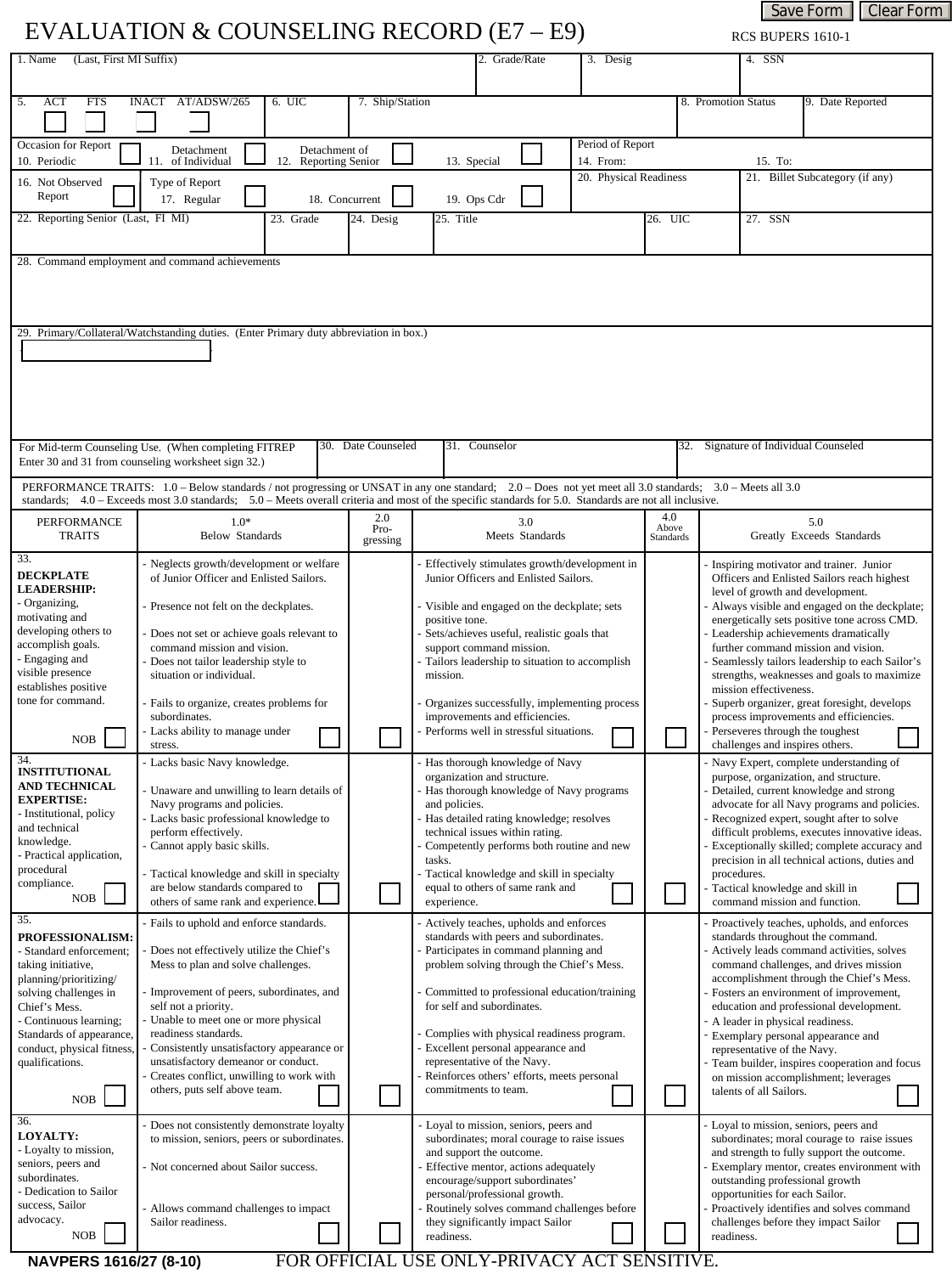Save Form | Clear Form RCS BUPERS 1610-1

## EVALUATION & COUNSELING RECORD  $(E7 - E9)$

| (Last, First MI Suffix)<br>1. Name                                                                                                                                                                                                                                                                                 |                                                                                                                                                                                                                                                                                                                                                                                                                                                                          |                                                                                   |                                                                                                                                                                                                                                                                                                                                                                                                                                            | 2. Grade/Rate                                                                                                                                                                                                                                                                                                 |  | 3. Desig |  |                                                          | 4. SSN                                                                                                                                                                                                                                                                                                                                                                                                                                                                                                                                                                                              |  |  |
|--------------------------------------------------------------------------------------------------------------------------------------------------------------------------------------------------------------------------------------------------------------------------------------------------------------------|--------------------------------------------------------------------------------------------------------------------------------------------------------------------------------------------------------------------------------------------------------------------------------------------------------------------------------------------------------------------------------------------------------------------------------------------------------------------------|-----------------------------------------------------------------------------------|--------------------------------------------------------------------------------------------------------------------------------------------------------------------------------------------------------------------------------------------------------------------------------------------------------------------------------------------------------------------------------------------------------------------------------------------|---------------------------------------------------------------------------------------------------------------------------------------------------------------------------------------------------------------------------------------------------------------------------------------------------------------|--|----------|--|----------------------------------------------------------|-----------------------------------------------------------------------------------------------------------------------------------------------------------------------------------------------------------------------------------------------------------------------------------------------------------------------------------------------------------------------------------------------------------------------------------------------------------------------------------------------------------------------------------------------------------------------------------------------------|--|--|
| ACT<br><b>FTS</b><br>5.                                                                                                                                                                                                                                                                                            | AT/ADSW/265<br>6. UIC<br><b>INACT</b>                                                                                                                                                                                                                                                                                                                                                                                                                                    | 7. Ship/Station                                                                   |                                                                                                                                                                                                                                                                                                                                                                                                                                            | 9. Date Reported<br>8. Promotion Status<br>$\overline{\phantom{0}}$                                                                                                                                                                                                                                           |  |          |  |                                                          |                                                                                                                                                                                                                                                                                                                                                                                                                                                                                                                                                                                                     |  |  |
| Occasion for Report<br>10. Periodic                                                                                                                                                                                                                                                                                | Detachment<br>11. of Individual<br>12.                                                                                                                                                                                                                                                                                                                                                                                                                                   | Period of Report<br>Detachment of<br>Reporting Senior<br>13. Special<br>14. From: |                                                                                                                                                                                                                                                                                                                                                                                                                                            |                                                                                                                                                                                                                                                                                                               |  |          |  |                                                          | 15. To:                                                                                                                                                                                                                                                                                                                                                                                                                                                                                                                                                                                             |  |  |
| 16. Not Observed<br>Report                                                                                                                                                                                                                                                                                         | Type of Report<br>17. Regular                                                                                                                                                                                                                                                                                                                                                                                                                                            | 20. Physical Readiness<br>18. Concurrent<br>19. Ops Cdr                           |                                                                                                                                                                                                                                                                                                                                                                                                                                            |                                                                                                                                                                                                                                                                                                               |  |          |  | 21. Billet Subcategory (if any)<br>$\blacktriangleright$ |                                                                                                                                                                                                                                                                                                                                                                                                                                                                                                                                                                                                     |  |  |
| 22. Reporting Senior (Last, FI MI)                                                                                                                                                                                                                                                                                 | 23. Grade                                                                                                                                                                                                                                                                                                                                                                                                                                                                | 24. Desig                                                                         | 25. Title<br>26. UIC                                                                                                                                                                                                                                                                                                                                                                                                                       |                                                                                                                                                                                                                                                                                                               |  |          |  |                                                          | 27. SSN                                                                                                                                                                                                                                                                                                                                                                                                                                                                                                                                                                                             |  |  |
| 28. Command employment and command achievements                                                                                                                                                                                                                                                                    |                                                                                                                                                                                                                                                                                                                                                                                                                                                                          |                                                                                   |                                                                                                                                                                                                                                                                                                                                                                                                                                            |                                                                                                                                                                                                                                                                                                               |  |          |  |                                                          |                                                                                                                                                                                                                                                                                                                                                                                                                                                                                                                                                                                                     |  |  |
| 29. Primary/Collateral/Watchstanding duties. (Enter Primary duty abbreviation in box.)                                                                                                                                                                                                                             |                                                                                                                                                                                                                                                                                                                                                                                                                                                                          |                                                                                   |                                                                                                                                                                                                                                                                                                                                                                                                                                            |                                                                                                                                                                                                                                                                                                               |  |          |  |                                                          |                                                                                                                                                                                                                                                                                                                                                                                                                                                                                                                                                                                                     |  |  |
|                                                                                                                                                                                                                                                                                                                    | For Mid-term Counseling Use. (When completing FITREP<br>Enter 30 and 31 from counseling worksheet sign 32.)                                                                                                                                                                                                                                                                                                                                                              |                                                                                   | 30. Date Counseled<br>31. Counselor                                                                                                                                                                                                                                                                                                                                                                                                        |                                                                                                                                                                                                                                                                                                               |  |          |  | 32. Signature of Individual Counseled                    |                                                                                                                                                                                                                                                                                                                                                                                                                                                                                                                                                                                                     |  |  |
| PERFORMANCE TRAITS: 1.0 - Below standards / not progressing or UNSAT in any one standard; 2.0 - Does not yet meet all 3.0 standards; 3.0 - Meets all 3.0<br>standards; 4.0 - Exceeds most 3.0 standards; 5.0 - Meets overall criteria and most of the specific standards for 5.0. Standards are not all inclusive. |                                                                                                                                                                                                                                                                                                                                                                                                                                                                          |                                                                                   |                                                                                                                                                                                                                                                                                                                                                                                                                                            |                                                                                                                                                                                                                                                                                                               |  |          |  |                                                          |                                                                                                                                                                                                                                                                                                                                                                                                                                                                                                                                                                                                     |  |  |
| PERFORMANCE<br><b>TRAITS</b>                                                                                                                                                                                                                                                                                       | $1.0*$<br>Below Standards                                                                                                                                                                                                                                                                                                                                                                                                                                                | 2.0<br>Pro-<br>gressing                                                           | 3.0<br>Meets Standards                                                                                                                                                                                                                                                                                                                                                                                                                     |                                                                                                                                                                                                                                                                                                               |  |          |  | 4.0<br>Above<br><b>Standards</b>                         | 5.0<br>Greatly Exceeds Standards                                                                                                                                                                                                                                                                                                                                                                                                                                                                                                                                                                    |  |  |
| 33.<br><b>DECKPLATE</b><br><b>LEADERSHIP:</b><br>- Organizing,<br>motivating and<br>developing others to<br>accomplish goals.<br>- Engaging and<br>visible presence<br>establishes positive<br>tone for command.<br>NOB                                                                                            | Neglects growth/development or welfare<br>of Junior Officer and Enlisted Sailors.<br>Presence not felt on the deckplates.<br>Does not set or achieve goals relevant to<br>command mission and vision.<br>Does not tailor leadership style to<br>situation or individual.<br>Fails to organize, creates problems for<br>subordinates.<br>Lacks ability to manage under<br>stress.                                                                                         |                                                                                   | Effectively stimulates growth/development in<br>Junior Officers and Enlisted Sailors.<br>Visible and engaged on the deckplate; sets<br>positive tone.<br>Sets/achieves useful, realistic goals that<br>support command mission.<br>Tailors leadership to situation to accomplish<br>mission.<br>Organizes successfully, implementing process<br>improvements and efficiencies.<br>Performs well in stressful situations.                   |                                                                                                                                                                                                                                                                                                               |  |          |  |                                                          | Inspiring motivator and trainer. Junior<br>Officers and Enlisted Sailors reach highest<br>level of growth and development.<br>Always visible and engaged on the deckplate;<br>energetically sets positive tone across CMD.<br>Leadership achievements dramatically<br>further command mission and vision.<br>Seamlessly tailors leadership to each Sailor's<br>strengths, weaknesses and goals to maximize<br>mission effectiveness.<br>Superb organizer, great foresight, develops<br>process improvements and efficiencies.<br>Perseveres through the toughest<br>challenges and inspires others. |  |  |
| 34.<br><b>INSTITUTIONAL</b><br>AND TECHNICAL<br><b>EXPERTISE:</b><br>- Institutional, policy<br>and technical<br>knowledge.<br>- Practical application,<br>procedural<br>compliance.<br>NOB                                                                                                                        | Lacks basic Navy knowledge.<br>Unaware and unwilling to learn details of<br>Navy programs and policies.<br>Lacks basic professional knowledge to<br>perform effectively.<br>Cannot apply basic skills.<br>Tactical knowledge and skill in specialty<br>are below standards compared to<br>others of same rank and experience.                                                                                                                                            |                                                                                   | Has thorough knowledge of Navy<br>organization and structure.<br>Has thorough knowledge of Navy programs<br>and policies.<br>Has detailed rating knowledge; resolves<br>technical issues within rating.<br>Competently performs both routine and new<br>tasks.<br>Tactical knowledge and skill in specialty<br>equal to others of same rank and<br>experience.                                                                             |                                                                                                                                                                                                                                                                                                               |  |          |  |                                                          | Navy Expert, complete understanding of<br>purpose, organization, and structure.<br>Detailed, current knowledge and strong<br>advocate for all Navy programs and policies.<br>Recognized expert, sought after to solve<br>difficult problems, executes innovative ideas.<br>Exceptionally skilled; complete accuracy and<br>precision in all technical actions, duties and<br>procedures.<br>Tactical knowledge and skill in<br>command mission and function.                                                                                                                                        |  |  |
| 35.<br><b>PROFESSIONALISM:</b><br>- Standard enforcement;<br>taking initiative,<br>planning/prioritizing/<br>solving challenges in<br>Chief's Mess.<br>- Continuous learning;<br>Standards of appearance,<br>conduct, physical fitness,<br>qualifications.<br>NOB<br>36.                                           | Fails to uphold and enforce standards.<br>Does not effectively utilize the Chief's<br>Mess to plan and solve challenges.<br>Improvement of peers, subordinates, and<br>self not a priority.<br>Unable to meet one or more physical<br>readiness standards.<br>Consistently unsatisfactory appearance or<br>unsatisfactory demeanor or conduct.<br>Creates conflict, unwilling to work with<br>others, puts self above team.<br>Does not consistently demonstrate loyalty |                                                                                   | Actively teaches, upholds and enforces<br>standards with peers and subordinates.<br>Participates in command planning and<br>problem solving through the Chief's Mess.<br>Committed to professional education/training<br>for self and subordinates.<br>Complies with physical readiness program.<br>Excellent personal appearance and<br>representative of the Navy.<br>Reinforces others' efforts, meets personal<br>commitments to team. |                                                                                                                                                                                                                                                                                                               |  |          |  |                                                          | Proactively teaches, upholds, and enforces<br>standards throughout the command.<br>Actively leads command activities, solves<br>command challenges, and drives mission<br>accomplishment through the Chief's Mess.<br>Fosters an environment of improvement,<br>education and professional development.<br>A leader in physical readiness.<br>Exemplary personal appearance and<br>representative of the Navy.<br>Team builder, inspires cooperation and focus<br>on mission accomplishment; leverages<br>talents of all Sailors.<br>Loyal to mission, seniors, peers and                           |  |  |
| <b>LOYALTY:</b><br>- Loyalty to mission,<br>seniors, peers and<br>subordinates.<br>- Dedication to Sailor<br>success, Sailor<br>advocacy.                                                                                                                                                                          | to mission, seniors, peers or subordinates.<br>- Not concerned about Sailor success.<br>Allows command challenges to impact<br>Sailor readiness.                                                                                                                                                                                                                                                                                                                         |                                                                                   |                                                                                                                                                                                                                                                                                                                                                                                                                                            | Loyal to mission, seniors, peers and<br>subordinates; moral courage to raise issues<br>and support the outcome.<br>Effective mentor, actions adequately<br>encourage/support subordinates'<br>personal/professional growth.<br>Routinely solves command challenges before<br>they significantly impact Sailor |  |          |  |                                                          | subordinates; moral courage to raise issues<br>and strength to fully support the outcome.<br>Exemplary mentor, creates environment with<br>outstanding professional growth<br>opportunities for each Sailor.<br>Proactively identifies and solves command<br>challenges before they impact Sailor                                                                                                                                                                                                                                                                                                   |  |  |

**NAVPERS 1616/27 (8-10)** 

 $NOB$ 

## FOR OFFICIAL USE ONLY-PRIVACY ACT SENSITIVE.

readiness.

readiness.